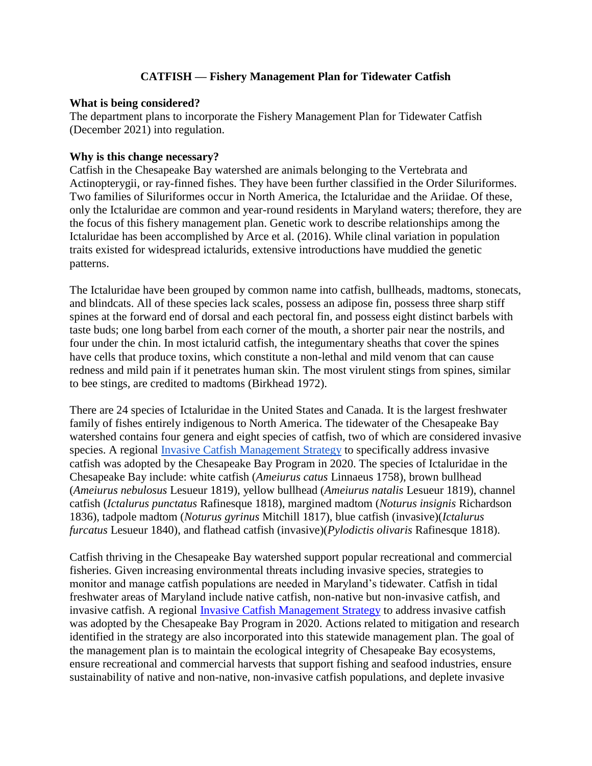## **CATFISH — Fishery Management Plan for Tidewater Catfish**

#### **What is being considered?**

The department plans to incorporate the Fishery Management Plan for Tidewater Catfish (December 2021) into regulation.

#### **Why is this change necessary?**

Catfish in the Chesapeake Bay watershed are animals belonging to the Vertebrata and Actinopterygii, or ray-finned fishes. They have been further classified in the Order Siluriformes. Two families of Siluriformes occur in North America, the Ictaluridae and the Ariidae. Of these, only the Ictaluridae are common and year-round residents in Maryland waters; therefore, they are the focus of this fishery management plan. Genetic work to describe relationships among the Ictaluridae has been accomplished by Arce et al. (2016). While clinal variation in population traits existed for widespread ictalurids, extensive introductions have muddied the genetic patterns.

The Ictaluridae have been grouped by common name into catfish, bullheads, madtoms, stonecats, and blindcats. All of these species lack scales, possess an adipose fin, possess three sharp stiff spines at the forward end of dorsal and each pectoral fin, and possess eight distinct barbels with taste buds; one long barbel from each corner of the mouth, a shorter pair near the nostrils, and four under the chin. In most ictalurid catfish, the integumentary sheaths that cover the spines have cells that produce toxins, which constitute a non-lethal and mild venom that can cause redness and mild pain if it penetrates human skin. The most virulent stings from spines, similar to bee stings, are credited to madtoms (Birkhead 1972).

There are 24 species of Ictaluridae in the United States and Canada. It is the largest freshwater family of fishes entirely indigenous to North America. The tidewater of the Chesapeake Bay watershed contains four genera and eight species of catfish, two of which are considered invasive species. A regional *Invasive Catfish Management Strategy* to specifically address invasive catfish was adopted by the Chesapeake Bay Program in 2020. The species of Ictaluridae in the Chesapeake Bay include: white catfish (*Ameiurus catus* Linnaeus 1758), brown bullhead (*Ameiurus nebulosus* Lesueur 1819), yellow bullhead (*Ameiurus natalis* Lesueur 1819), channel catfish (*Ictalurus punctatus* Rafinesque 1818), margined madtom (*Noturus insignis* Richardson 1836), tadpole madtom (*Noturus gyrinus* Mitchill 1817), blue catfish (invasive)(*Ictalurus furcatus* Lesueur 1840), and flathead catfish (invasive)(*Pylodictis olivaris* Rafinesque 1818).

Catfish thriving in the Chesapeake Bay watershed support popular recreational and commercial fisheries. Given increasing environmental threats including invasive species, strategies to monitor and manage catfish populations are needed in Maryland's tidewater. Catfish in tidal freshwater areas of Maryland include native catfish, non-native but non-invasive catfish, and invasive catfish. A regional [Invasive Catfish Management Strategy](https://www.chesapeakebay.net/who/group/invasive_catfish_task_force) to address invasive catfish was adopted by the Chesapeake Bay Program in 2020. Actions related to mitigation and research identified in the strategy are also incorporated into this statewide management plan. The goal of the management plan is to maintain the ecological integrity of Chesapeake Bay ecosystems, ensure recreational and commercial harvests that support fishing and seafood industries, ensure sustainability of native and non-native, non-invasive catfish populations, and deplete invasive